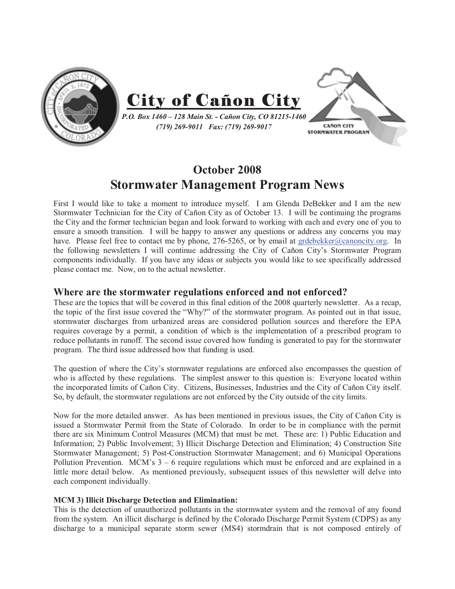

# **October 2008 Stormwater Management Program News**

First I would like to take a moment to introduce myself. I am Glenda DeBekker and I am the new Stormwater Technician for the City of Cañon City as of October 13. I will be continuing the programs the City and the former technician began and look forward to working with each and every one of you to ensure a smooth transition. I will be happy to answer any questions or address any concerns you may have. Please feel free to contact me by phone, 276-5265, or by email at grdebekker@canoncity.org. In the following newsletters I will continue addressing the City of Cañon City's Stormwater Program components individually. If you have any ideas or subjects you would like to see specifically addressed please contact me. Now, on to the actual newsletter.

## **Where are the stormwater regulations enforced and not enforced?**

These are the topics that will be covered in this final edition of the 2008 quarterly newsletter. As a recap, the topic of the first issue covered the "Why?" of the stormwater program. As pointed out in that issue, stormwater discharges from urbanized areas are considered pollution sources and therefore the EPA requires coverage by a permit, a condition of which is the implementation of a prescribed program to reduce pollutants in runoff. The second issue covered how funding is generated to pay for the stormwater program. The third issue addressed how that funding is used.

The question of where the City's stormwater regulations are enforced also encompasses the question of who is affected by these regulations. The simplest answer to this question is: Everyone located within the incorporated limits of Cañon City. Citizens, Businesses, Industries and the City of Cañon City itself. So, by default, the stormwater regulations are not enforced by the City outside of the city limits.

Now for the more detailed answer. As has been mentioned in previous issues, the City of Cañon City is issued a Stormwater Permit from the State of Colorado. In order to be in compliance with the permit there are six Minimum Control Measures (MCM) that must be met. These are: 1) Public Education and Information; 2) Public Involvement; 3) Illicit Discharge Detection and Elimination; 4) Construction Site Stormwater Management; 5) Post-Construction Stormwater Management; and 6) Municipal Operations Pollution Prevention. MCM's 3 – 6 require regulations which must be enforced and are explained in a little more detail below. As mentioned previously, subsequent issues of this newsletter will delve into each component individually.

### **MCM 3) Illicit Discharge Detection and Elimination:**

This is the detection of unauthorized pollutants in the stormwater system and the removal of any found from the system. An illicit discharge is defined by the Colorado Discharge Permit System (CDPS) as any discharge to a municipal separate storm sewer (MS4) stormdrain that is not composed entirely of